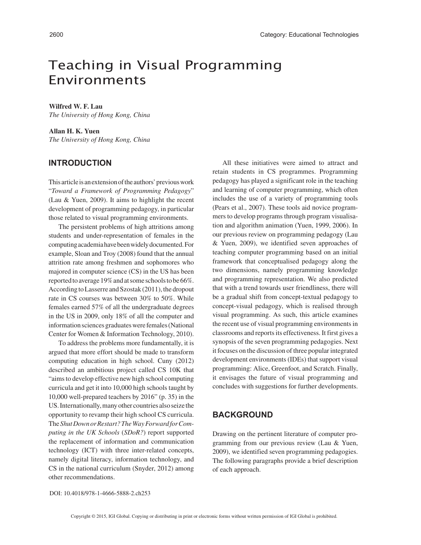# Teaching in Visual Programming Environments

#### **Wilfred W. F. Lau**

*The University of Hong Kong, China*

#### **Allan H. K. Yuen**

*The University of Hong Kong, China*

# **INTRODUCTION**

This article is an extension of the authors' previous work "*Toward a Framework of Programming Pedagogy*" (Lau & Yuen, 2009). It aims to highlight the recent development of programming pedagogy, in particular those related to visual programming environments.

The persistent problems of high attritions among students and under-representation of females in the computing academia have been widely documented. For example, Sloan and Troy (2008) found that the annual attrition rate among freshmen and sophomores who majored in computer science (CS) in the US has been reported to average 19% and at some schools to be 66%. According to Lasserre and Szostak (2011), the dropout rate in CS courses was between 30% to 50%. While females earned 57% of all the undergraduate degrees in the US in 2009, only 18% of all the computer and information sciences graduates were females (National Center for Women & Information Technology, 2010).

To address the problems more fundamentally, it is argued that more effort should be made to transform computing education in high school. Cuny (2012) described an ambitious project called CS 10K that "aims to develop effective new high school computing curricula and get it into 10,000 high schools taught by 10,000 well-prepared teachers by 2016" (p. 35) in the US. Internationally, many other countries also seize the opportunity to revamp their high school CS curricula. The *Shut Down or Restart? The Way Forward for Computing in the UK Schools* (*SDoR?*) report supported the replacement of information and communication technology (ICT) with three inter-related concepts, namely digital literacy, information technology, and CS in the national curriculum (Snyder, 2012) among other recommendations.

All these initiatives were aimed to attract and retain students in CS programmes. Programming pedagogy has played a significant role in the teaching and learning of computer programming, which often includes the use of a variety of programming tools (Pears et al., 2007). These tools aid novice programmers to develop programs through program visualisation and algorithm animation (Yuen, 1999, 2006). In our previous review on programming pedagogy (Lau & Yuen, 2009), we identified seven approaches of teaching computer programming based on an initial framework that conceptualised pedagogy along the two dimensions, namely programming knowledge and programming representation. We also predicted that with a trend towards user friendliness, there will be a gradual shift from concept-textual pedagogy to concept-visual pedagogy, which is realised through visual programming. As such, this article examines the recent use of visual programming environments in classrooms and reports its effectiveness. It first gives a synopsis of the seven programming pedagogies. Next it focuses on the discussion of three popular integrated development environments (IDEs) that support visual programming: Alice, Greenfoot, and Scratch. Finally, it envisages the future of visual programming and concludes with suggestions for further developments.

## **BACKGROUND**

Drawing on the pertinent literature of computer programming from our previous review (Lau & Yuen, 2009), we identified seven programming pedagogies. The following paragraphs provide a brief description of each approach.

DOI: 10.4018/978-1-4666-5888-2.ch253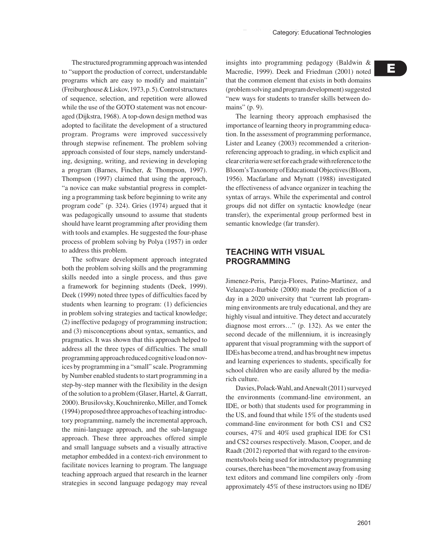The structured programming approach was intended to "support the production of correct, understandable programs which are easy to modify and maintain" (Freiburghouse & Liskov, 1973, p. 5). Control structures of sequence, selection, and repetition were allowed while the use of the GOTO statement was not encouraged (Dijkstra, 1968). A top-down design method was adopted to facilitate the development of a structured program. Programs were improved successively through stepwise refinement. The problem solving approach consisted of four steps, namely understanding, designing, writing, and reviewing in developing a program (Barnes, Fincher, & Thompson, 1997). Thompson (1997) claimed that using the approach, "a novice can make substantial progress in completing a programming task before beginning to write any program code" (p. 324). Gries (1974) argued that it was pedagogically unsound to assume that students should have learnt programming after providing them with tools and examples. He suggested the four-phase process of problem solving by Polya (1957) in order to address this problem.

The software development approach integrated both the problem solving skills and the programming skills needed into a single process, and thus gave a framework for beginning students (Deek, 1999). Deek (1999) noted three types of difficulties faced by students when learning to program: (1) deficiencies in problem solving strategies and tactical knowledge; (2) ineffective pedagogy of programming instruction; and (3) misconceptions about syntax, semantics, and pragmatics. It was shown that this approach helped to address all the three types of difficulties. The small programming approach reduced cognitive load on novices by programming in a "small" scale. Programming by Number enabled students to start programming in a step-by-step manner with the flexibility in the design of the solution to a problem (Glaser, Hartel, & Garratt, 2000). Brusilovsky, Kouchnirenko, Miller, and Tomek (1994) proposed three approaches of teaching introductory programming, namely the incremental approach, the mini-language approach, and the sub-language approach. These three approaches offered simple and small language subsets and a visually attractive metaphor embedded in a context-rich environment to facilitate novices learning to program. The language teaching approach argued that research in the learner strategies in second language pedagogy may reveal

insights into programming pedagogy (Baldwin & Macredie, 1999). Deek and Friedman (2001) noted that the common element that exists in both domains (problem solving and program development) suggested "new ways for students to transfer skills between domains" (p. 9).

The learning theory approach emphasised the importance of learning theory in programming education. In the assessment of programming performance, Lister and Leaney (2003) recommended a criterionreferencing approach to grading, in which explicit and clear criteria were set for each grade with reference to the Bloom's Taxonomy of Educational Objectives (Bloom, 1956). Macfarlane and Mynatt (1988) investigated the effectiveness of advance organizer in teaching the syntax of arrays. While the experimental and control groups did not differ on syntactic knowledge (near transfer), the experimental group performed best in semantic knowledge (far transfer).

# **TEACHING WITH VISUAL PROGRAMMING**

Jimenez-Peris, Pareja-Flores, Patino-Martinez, and Velazquez-Iturbide (2000) made the prediction of a day in a 2020 university that "current lab programming environments are truly educational, and they are highly visual and intuitive. They detect and accurately diagnose most errors…" (p. 132). As we enter the second decade of the millennium, it is increasingly apparent that visual programming with the support of IDEs has become a trend, and has brought new impetus and learning experiences to students, specifically for school children who are easily allured by the mediarich culture.

Davies, Polack-Wahl, and Anewalt (2011) surveyed the environments (command-line environment, an IDE, or both) that students used for programming in the US, and found that while 15% of the students used command-line environment for both CS1 and CS2 courses, 47% and 40% used graphical IDE for CS1 and CS2 courses respectively. Mason, Cooper, and de Raadt (2012) reported that with regard to the environments/tools being used for introductory programming courses, there has been "the movement away from using text editors and command line compilers only -from approximately 45% of these instructors using no IDE/